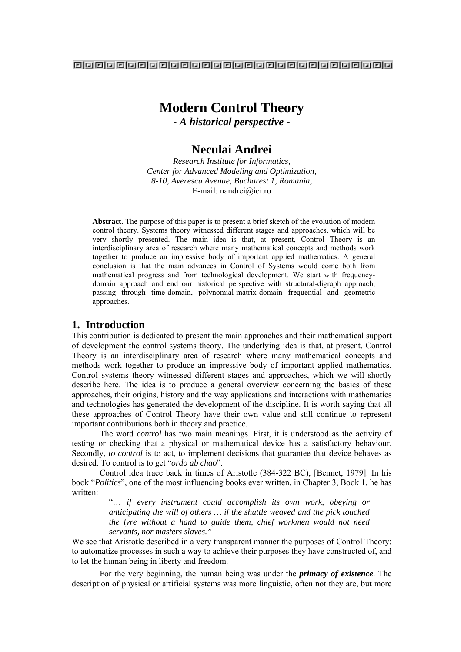### 888888888888888888888888888888888

# **Modern Control Theory**

*- A historical perspective -*

# **Neculai Andrei**

*Research Institute for Informatics, Center for Advanced Modeling and Optimization, 8-10, Averescu Avenue, Bucharest 1, Romania,*  E-mail: nandrei@ici.ro

**Abstract.** The purpose of this paper is to present a brief sketch of the evolution of modern control theory. Systems theory witnessed different stages and approaches, which will be very shortly presented. The main idea is that, at present, Control Theory is an interdisciplinary area of research where many mathematical concepts and methods work together to produce an impressive body of important applied mathematics. A general conclusion is that the main advances in Control of Systems would come both from mathematical progress and from technological development. We start with frequencydomain approach and end our historical perspective with structural-digraph approach, passing through time-domain, polynomial-matrix-domain frequential and geometric approaches.

### **1. Introduction**

This contribution is dedicated to present the main approaches and their mathematical support of development the control systems theory. The underlying idea is that, at present, Control Theory is an interdisciplinary area of research where many mathematical concepts and methods work together to produce an impressive body of important applied mathematics. Control systems theory witnessed different stages and approaches, which we will shortly describe here. The idea is to produce a general overview concerning the basics of these approaches, their origins, history and the way applications and interactions with mathematics and technologies has generated the development of the discipline. It is worth saying that all these approaches of Control Theory have their own value and still continue to represent important contributions both in theory and practice.

The word *control* has two main meanings. First, it is understood as the activity of testing or checking that a physical or mathematical device has a satisfactory behaviour. Secondly, *to control* is to act, to implement decisions that guarantee that device behaves as desired. To control is to get "*ordo ab chao*".

Control idea trace back in times of Aristotle (384-322 BC), [Bennet, 1979]. In his book "*Politics*", one of the most influencing books ever written, in Chapter 3, Book 1, he has written:

> "… *if every instrument could accomplish its own work, obeying or anticipating the will of others … if the shuttle weaved and the pick touched the lyre without a hand to guide them, chief workmen would not need servants, nor masters slaves."*

We see that Aristotle described in a very transparent manner the purposes of Control Theory: to automatize processes in such a way to achieve their purposes they have constructed of, and to let the human being in liberty and freedom.

For the very beginning, the human being was under the *primacy of existence*. The description of physical or artificial systems was more linguistic, often not they are, but more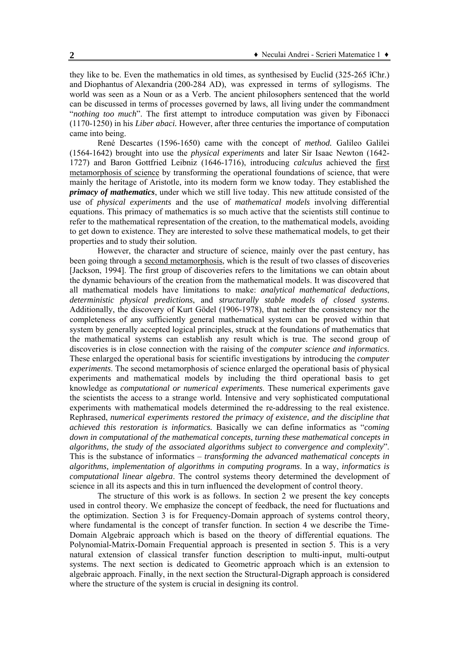they like to be. Even the mathematics in old times, as synthesised by Euclid (325-265 îChr.) and Diophantus of Alexandria (200-284 AD), was expressed in terms of syllogisms. The world was seen as a Noun or as a Verb. The ancient philosophers sentenced that the world can be discussed in terms of processes governed by laws, all living under the commandment "*nothing too much*". The first attempt to introduce computation was given by Fibonacci (1170-1250) in his *Liber abaci.* However, after three centuries the importance of computation came into being.

René Descartes (1596-1650) came with the concept of *method.* Galileo Galilei (1564-1642) brought into use the *physical experiments* and later Sir Isaac Newton (1642- 1727) and Baron Gottfried Leibniz (1646-1716), introducing *calculus* achieved the first metamorphosis of science by transforming the operational foundations of science, that were mainly the heritage of Aristotle, into its modern form we know today. They established the *primacy of mathematics*, under which we still live today. This new attitude consisted of the use of *physical experiments* and the use of *mathematical models* involving differential equations. This primacy of mathematics is so much active that the scientists still continue to refer to the mathematical representation of the creation, to the mathematical models, avoiding to get down to existence. They are interested to solve these mathematical models, to get their properties and to study their solution.

However, the character and structure of science, mainly over the past century, has been going through a second metamorphosis, which is the result of two classes of discoveries [Jackson, 1994]. The first group of discoveries refers to the limitations we can obtain about the dynamic behaviours of the creation from the mathematical models. It was discovered that all mathematical models have limitations to make: *analytical mathematical deductions*, *deterministic physical predictions*, and *structurally stable models of closed systems*. Additionally, the discovery of Kurt Gödel (1906-1978), that neither the consistency nor the completeness of any sufficiently general mathematical system can be proved within that system by generally accepted logical principles, struck at the foundations of mathematics that the mathematical systems can establish any result which is true. The second group of discoveries is in close connection with the raising of the *computer science and informatics*. These enlarged the operational basis for scientific investigations by introducing the *computer experiments*. The second metamorphosis of science enlarged the operational basis of physical experiments and mathematical models by including the third operational basis to get knowledge as *computational or numerical experiments*. These numerical experiments gave the scientists the access to a strange world. Intensive and very sophisticated computational experiments with mathematical models determined the re-addressing to the real existence. Rephrased, *numerical experiments restored the primacy of existence, and the discipline that achieved this restoration is informatics.* Basically we can define informatics as "*coming down in computational of the mathematical concepts, turning these mathematical concepts in algorithms, the study of the associated algorithms subject to convergence and complexity*". This is the substance of informatics – *transforming the advanced mathematical concepts in algorithms, implementation of algorithms in computing programs*. In a way, *informatics is computational linear algebra*. The control systems theory determined the development of science in all its aspects and this in turn influenced the development of control theory.

 The structure of this work is as follows. In section 2 we present the key concepts used in control theory. We emphasize the concept of feedback, the need for fluctuations and the optimization. Section 3 is for Frequency-Domain approach of systems control theory, where fundamental is the concept of transfer function. In section 4 we describe the Time-Domain Algebraic approach which is based on the theory of differential equations. The Polynomial-Matrix-Domain Frequential approach is presented in section 5. This is a very natural extension of classical transfer function description to multi-input, multi-output systems. The next section is dedicated to Geometric approach which is an extension to algebraic approach. Finally, in the next section the Structural-Digraph approach is considered where the structure of the system is crucial in designing its control.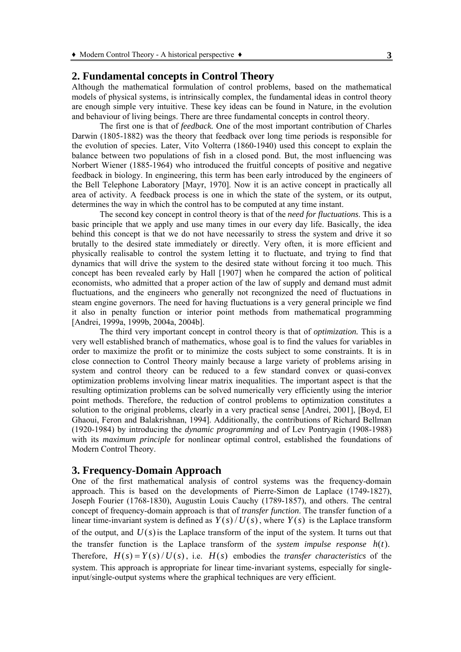# **2. Fundamental concepts in Control Theory**

Although the mathematical formulation of control problems, based on the mathematical models of physical systems, is intrinsically complex, the fundamental ideas in control theory are enough simple very intuitive. These key ideas can be found in Nature, in the evolution and behaviour of living beings. There are three fundamental concepts in control theory.

The first one is that of *feedback.* One of the most important contribution of Charles Darwin (1805-1882) was the theory that feedback over long time periods is responsible for the evolution of species. Later, Vito Volterra (1860-1940) used this concept to explain the balance between two populations of fish in a closed pond. But, the most influencing was Norbert Wiener (1885-1964) who introduced the fruitful concepts of positive and negative feedback in biology. In engineering, this term has been early introduced by the engineers of the Bell Telephone Laboratory [Mayr, 1970]. Now it is an active concept in practically all area of activity. A feedback process is one in which the state of the system, or its output, determines the way in which the control has to be computed at any time instant.

The second key concept in control theory is that of the *need for fluctuations*. This is a basic principle that we apply and use many times in our every day life. Basically, the idea behind this concept is that we do not have necessarily to stress the system and drive it so brutally to the desired state immediately or directly. Very often, it is more efficient and physically realisable to control the system letting it to fluctuate, and trying to find that dynamics that will drive the system to the desired state without forcing it too much. This concept has been revealed early by Hall [1907] when he compared the action of political economists, who admitted that a proper action of the law of supply and demand must admit fluctuations, and the engineers who generally not recongnized the need of fluctuations in steam engine governors. The need for having fluctuations is a very general principle we find it also in penalty function or interior point methods from mathematical programming [Andrei, 1999a, 1999b, 2004a, 2004b].

The third very important concept in control theory is that of *optimization.* This is a very well established branch of mathematics, whose goal is to find the values for variables in order to maximize the profit or to minimize the costs subject to some constraints. It is in close connection to Control Theory mainly because a large variety of problems arising in system and control theory can be reduced to a few standard convex or quasi-convex optimization problems involving linear matrix inequalities. The important aspect is that the resulting optimization problems can be solved numerically very efficiently using the interior point methods. Therefore, the reduction of control problems to optimization constitutes a solution to the original problems, clearly in a very practical sense [Andrei, 2001], [Boyd, El Ghaoui, Feron and Balakrishnan, 1994]. Additionally, the contributions of Richard Bellman (1920-1984) by introducing the *dynamic programming* and of Lev Pontryagin (1908-1988) with its *maximum principle* for nonlinear optimal control, established the foundations of Modern Control Theory.

# **3. Frequency-Domain Approach**

One of the first mathematical analysis of control systems was the frequency-domain approach. This is based on the developments of Pierre-Simon de Laplace (1749-1827), Joseph Fourier (1768-1830), Augustin Louis Cauchy (1789-1857), and others. The central concept of frequency-domain approach is that of *transfer function*. The transfer function of a linear time-invariant system is defined as  $Y(s)/U(s)$ , where  $Y(s)$  is the Laplace transform of the output, and  $U(s)$  is the Laplace transform of the input of the system. It turns out that the transfer function is the Laplace transform of the *system impulse response*  $h(t)$ . Therefore,  $H(s) = Y(s)/U(s)$ , i.e.  $H(s)$  embodies the *transfer characteristics* of the system. This approach is appropriate for linear time-invariant systems, especially for singleinput/single-output systems where the graphical techniques are very efficient.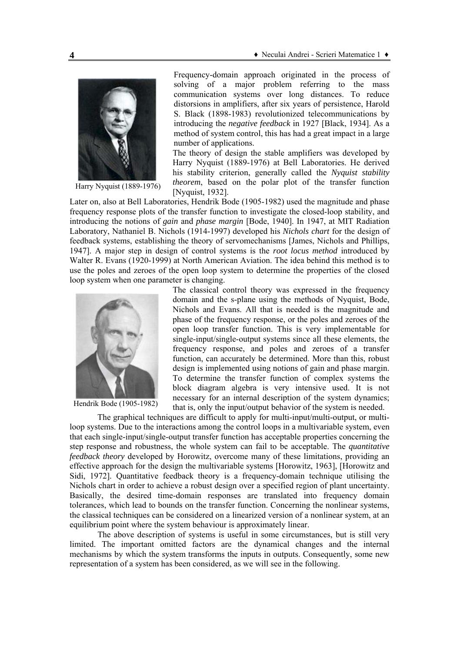

Harry Nyquist (1889-1976)

Frequency-domain approach originated in the process of solving of a major problem referring to the mass communication systems over long distances. To reduce distorsions in amplifiers, after six years of persistence, Harold S. Black (1898-1983) revolutionized telecommunications by introducing the *negative feedback* in 1927 [Black, 1934]. As a method of system control, this has had a great impact in a large number of applications.

The theory of design the stable amplifiers was developed by Harry Nyquist (1889-1976) at Bell Laboratories. He derived his stability criterion, generally called the *Nyquist stability theorem*, based on the polar plot of the transfer function [Nyquist, 1932].

Later on, also at Bell Laboratories, Hendrik Bode (1905-1982) used the magnitude and phase frequency response plots of the transfer function to investigate the closed-loop stability, and introducing the notions of *gain* and *phase margin* [Bode, 1940]. In 1947, at MIT Radiation Laboratory, Nathaniel B. Nichols (1914-1997) developed his *Nichols chart* for the design of feedback systems, establishing the theory of servomechanisms [James, Nichols and Phillips, 1947]. A major step in design of control systems is the *root locus method* introduced by Walter R. Evans (1920-1999) at North American Aviation. The idea behind this method is to use the poles and zeroes of the open loop system to determine the properties of the closed loop system when one parameter is changing.



Hendrik Bode (1905-1982)

The classical control theory was expressed in the frequency domain and the s-plane using the methods of Nyquist, Bode, Nichols and Evans. All that is needed is the magnitude and phase of the frequency response, or the poles and zeroes of the open loop transfer function. This is very implementable for single-input/single-output systems since all these elements, the frequency response, and poles and zeroes of a transfer function, can accurately be determined. More than this, robust design is implemented using notions of gain and phase margin. To determine the transfer function of complex systems the block diagram algebra is very intensive used. It is not necessary for an internal description of the system dynamics: that is, only the input/output behavior of the system is needed.

The graphical techniques are difficult to apply for multi-input/multi-output, or multiloop systems. Due to the interactions among the control loops in a multivariable system, even that each single-input/single-output transfer function has acceptable properties concerning the step response and robustness, the whole system can fail to be acceptable. The *quantitative feedback theory* developed by Horowitz, overcome many of these limitations, providing an effective approach for the design the multivariable systems [Horowitz, 1963], [Horowitz and Sidi, 1972]. Quantitative feedback theory is a frequency-domain technique utilising the Nichols chart in order to achieve a robust design over a specified region of plant uncertainty. Basically, the desired time-domain responses are translated into frequency domain tolerances, which lead to bounds on the transfer function. Concerning the nonlinear systems, the classical techniques can be considered on a linearized version of a nonlinear system, at an equilibrium point where the system behaviour is approximately linear.

The above description of systems is useful in some circumstances, but is still very limited. The important omitted factors are the dynamical changes and the internal mechanisms by which the system transforms the inputs in outputs. Consequently, some new representation of a system has been considered, as we will see in the following.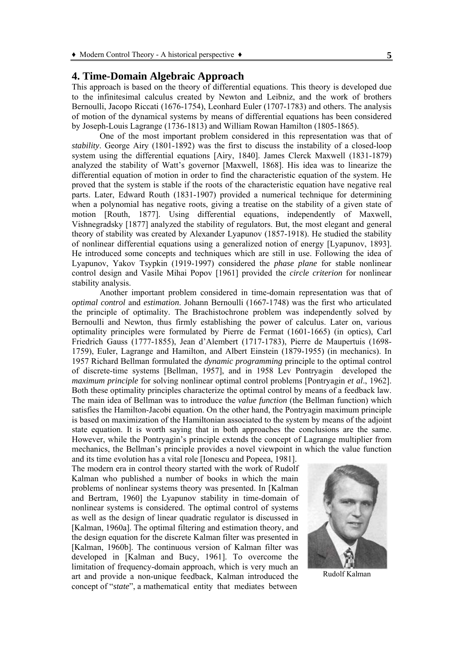# **4. Time-Domain Algebraic Approach**

This approach is based on the theory of differential equations. This theory is developed due to the infinitesimal calculus created by Newton and Leibniz, and the work of brothers Bernoulli, Jacopo Riccati (1676-1754), Leonhard Euler (1707-1783) and others. The analysis of motion of the dynamical systems by means of differential equations has been considered by Joseph-Louis Lagrange (1736-1813) and William Rowan Hamilton (1805-1865).

One of the most important problem considered in this representation was that of *stability*. George Airy (1801-1892) was the first to discuss the instability of a closed-loop system using the differential equations [Airy, 1840]. James Clerck Maxwell (1831-1879) analyzed the stability of Watt's governor [Maxwell, 1868]. His idea was to linearize the differential equation of motion in order to find the characteristic equation of the system. He proved that the system is stable if the roots of the characteristic equation have negative real parts. Later, Edward Routh (1831-1907) provided a numerical technique for determining when a polynomial has negative roots, giving a treatise on the stability of a given state of motion [Routh, 1877]. Using differential equations, independently of Maxwell, Vishnegradsky [1877] analyzed the stability of regulators. But, the most elegant and general theory of stability was created by Alexander Lyapunov (1857-1918). He studied the stability of nonlinear differential equations using a generalized notion of energy [Lyapunov, 1893]. He introduced some concepts and techniques which are still in use. Following the idea of Lyapunov, Yakov Tsypkin (1919-1997) considered the *phase plane* for stable nonlinear control design and Vasile Mihai Popov [1961] provided the *circle criterion* for nonlinear stability analysis.

Another important problem considered in time-domain representation was that of *optimal control* and *estimation*. Johann Bernoulli (1667-1748) was the first who articulated the principle of optimality. The Brachistochrone problem was independently solved by Bernoulli and Newton, thus firmly establishing the power of calculus. Later on, various optimality principles were formulated by Pierre de Fermat (1601-1665) (in optics), Carl Friedrich Gauss (1777-1855), Jean d'Alembert (1717-1783), Pierre de Maupertuis (1698- 1759), Euler, Lagrange and Hamilton, and Albert Einstein (1879-1955) (in mechanics). In 1957 Richard Bellman formulated the *dynamic programming* principle to the optimal control of discrete-time systems [Bellman, 1957], and in 1958 Lev Pontryagin developed the *maximum principle* for solving nonlinear optimal control problems [Pontryagin *et al*., 1962]. Both these optimality principles characterize the optimal control by means of a feedback law. The main idea of Bellman was to introduce the *value function* (the Bellman function) which satisfies the Hamilton-Jacobi equation. On the other hand, the Pontryagin maximum principle is based on maximization of the Hamiltonian associated to the system by means of the adjoint state equation. It is worth saying that in both approaches the conclusions are the same. However, while the Pontryagin's principle extends the concept of Lagrange multiplier from mechanics, the Bellman's principle provides a novel viewpoint in which the value function

and its time evolution has a vital role [Ionescu and Popeea, 1981]. The modern era in control theory started with the work of Rudolf Kalman who published a number of books in which the main problems of nonlinear systems theory was presented. In [Kalman and Bertram, 1960] the Lyapunov stability in time-domain of nonlinear systems is considered. The optimal control of systems as well as the design of linear quadratic regulator is discussed in [Kalman, 1960a]. The optimal filtering and estimation theory, and the design equation for the discrete Kalman filter was presented in [Kalman, 1960b]. The continuous version of Kalman filter was developed in [Kalman and Bucy, 1961]. To overcome the limitation of frequency-domain approach, which is very much an art and provide a non-unique feedback, Kalman introduced the concept of "*state*", a mathematical entity that mediates between



Rudolf Kalman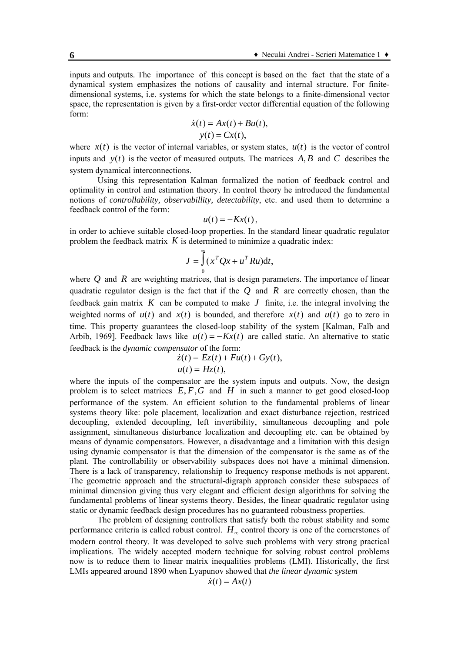inputs and outputs. The importance of this concept is based on the fact that the state of a dynamical system emphasizes the notions of causality and internal structure. For finitedimensional systems, i.e. systems for which the state belongs to a finite-dimensional vector space, the representation is given by a first-order vector differential equation of the following form:

$$
\dot{x}(t) = Ax(t) + Bu(t),
$$
  

$$
y(t) = Cx(t),
$$

where  $x(t)$  is the vector of internal variables, or system states,  $u(t)$  is the vector of control inputs and  $y(t)$  is the vector of measured outputs. The matrices  $A, B$  and  $C$  describes the system dynamical interconnections.

Using this representation Kalman formalized the notion of feedback control and optimality in control and estimation theory. In control theory he introduced the fundamental notions of *controllability, observabillity, detectability*, etc. and used them to determine a feedback control of the form:

$$
u(t)=-Kx(t),
$$

in order to achieve suitable closed-loop properties. In the standard linear quadratic regulator problem the feedback matrix *K* is determined to minimize a quadratic index:

$$
J = \int_{0}^{\infty} (x^T Q x + u^T R u) dt,
$$

where *Q* and *R* are weighting matrices, that is design parameters. The importance of linear quadratic regulator design is the fact that if the *Q* and *R* are correctly chosen, than the feedback gain matrix  $K$  can be computed to make  $J$  finite, i.e. the integral involving the weighted norms of  $u(t)$  and  $x(t)$  is bounded, and therefore  $x(t)$  and  $u(t)$  go to zero in time. This property guarantees the closed-loop stability of the system [Kalman, Falb and Arbib, 1969]. Feedback laws like  $u(t) = -Kx(t)$  are called static. An alternative to static feedback is the *dynamic compensator* of the form:

$$
\dot{z}(t) = Ez(t) + Fu(t) + Gy(t),
$$
  

$$
u(t) = Hz(t),
$$

where the inputs of the compensator are the system inputs and outputs. Now, the design problem is to select matrices  $E, F, G$  and  $H$  in such a manner to get good closed-loop performance of the system. An efficient solution to the fundamental problems of linear systems theory like: pole placement, localization and exact disturbance rejection, restriced decoupling, extended decoupling, left invertibility, simultaneous decoupling and pole assignment, simultaneous disturbance localization and decoupling etc. can be obtained by means of dynamic compensators. However, a disadvantage and a limitation with this design using dynamic compensator is that the dimension of the compensator is the same as of the plant. The controllability or observability subspaces does not have a minimal dimension. There is a lack of transparency, relationship to frequency response methods is not apparent. The geometric approach and the structural-digraph approach consider these subspaces of minimal dimension giving thus very elegant and efficient design algorithms for solving the fundamental problems of linear systems theory. Besides, the linear quadratic regulator using static or dynamic feedback design procedures has no guaranteed robustness properties.

The problem of designing controllers that satisfy both the robust stability and some performance criteria is called robust control. *H*<sup>∞</sup> control theory is one of the cornerstones of modern control theory. It was developed to solve such problems with very strong practical implications. The widely accepted modern technique for solving robust control problems now is to reduce them to linear matrix inequalities problems (LMI). Historically, the first LMIs appeared around 1890 when Lyapunov showed that *the linear dynamic system* 

$$
\dot{x}(t) = Ax(t)
$$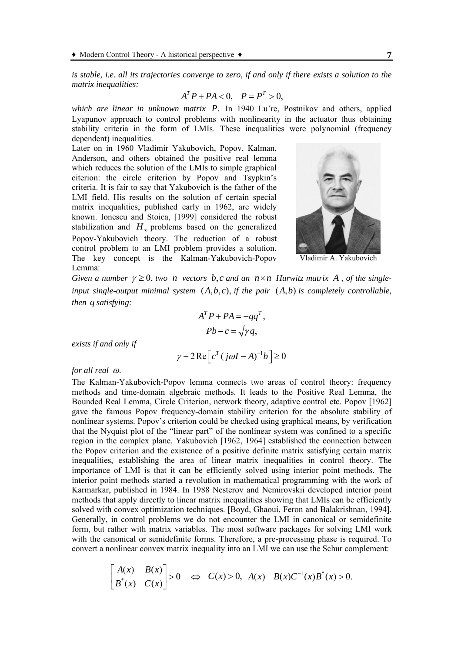*is stable, i.e. all its trajectories converge to zero, if and only if there exists a solution to the matrix inequalities:* 

$$
A^T P + P A < 0, \quad P = P^T > 0,
$$

which are linear in unknown matrix P. In 1940 Lu're, Postnikov and others, applied Lyapunov approach to control problems with nonlinearity in the actuator thus obtaining stability criteria in the form of LMIs. These inequalities were polynomial (frequency dependent) inequalities.

Later on in 1960 Vladimir Yakubovich, Popov, Kalman, Anderson, and others obtained the positive real lemma which reduces the solution of the LMIs to simple graphical citerion: the circle criterion by Popov and Tsypkin's criteria. It is fair to say that Yakubovich is the father of the LMI field. His results on the solution of certain special matrix inequalities, published early in 1962, are widely known. Ionescu and Stoica, [1999] considered the robust stabilization and  $H_{\infty}$  problems based on the generalized Popov-Yakubovich theory. The reduction of a robust control problem to an LMI problem provides a solution. The key concept is the Kalman-Yakubovich-Popov Lemma:



Vladimir A. Yakubovich

*Given a number*  $\gamma \geq 0$ , *two n vectors b, c and an*  $n \times n$  *Hurwitz matrix* A, *of the single*input single-output minimal system  $(A,b,c)$ , if the pair  $(A,b)$  is completely controllable, *then q satisfying:* 

$$
AT P + PA = -qqT,
$$
  
 
$$
Pb - c = \sqrt{\gamma}q,
$$

*exists if and only if* 

$$
\gamma + 2 \operatorname{Re} \left[ c^T (j \omega I - A)^{-1} b \right] \ge 0
$$

#### *for all real* ω.

The Kalman-Yakubovich-Popov lemma connects two areas of control theory: frequency methods and time-domain algebraic methods. It leads to the Positive Real Lemma, the Bounded Real Lemma, Circle Criterion, network theory, adaptive control etc. Popov [1962] gave the famous Popov frequency-domain stability criterion for the absolute stability of nonlinear systems. Popov's criterion could be checked using graphical means, by verification that the Nyquist plot of the "linear part" of the nonlinear system was confined to a specific region in the complex plane. Yakubovich [1962, 1964] established the connection between the Popov criterion and the existence of a positive definite matrix satisfying certain matrix inequalities, establishing the area of linear matrix inequalities in control theory. The importance of LMI is that it can be efficiently solved using interior point methods. The interior point methods started a revolution in mathematical programming with the work of Karmarkar, published in 1984. In 1988 Nesterov and Nemirovskii developed interior point methods that apply directly to linear matrix inequalities showing that LMIs can be efficiently solved with convex optimization techniques. [Boyd, Ghaoui, Feron and Balakrishnan, 1994]. Generally, in control problems we do not encounter the LMI in canonical or semidefinite form, but rather with matrix variables. The most software packages for solving LMI work with the canonical or semidefinite forms. Therefore, a pre-processing phase is required. To convert a nonlinear convex matrix inequality into an LMI we can use the Schur complement:

$$
\begin{bmatrix} A(x) & B(x) \\ B^*(x) & C(x) \end{bmatrix} > 0 \quad \Leftrightarrow \quad C(x) > 0, \quad A(x) - B(x)C^{-1}(x)B^*(x) > 0.
$$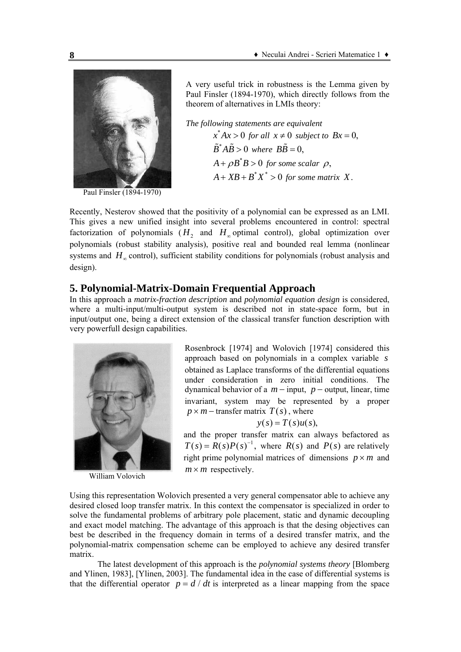

Paul Finsler (1894-1970)

A very useful trick in robustness is the Lemma given by Paul Finsler (1894-1970), which directly follows from the theorem of alternatives in LMIs theory:

*The following statements are equivalent*  $x^* Ax > 0$  for all  $x \neq 0$  subject to  $Bx = 0$ ,  $\tilde{B}^* A \tilde{B} > 0$  where  $B\tilde{B} = 0$ .  $A + \rho B^* B > 0$  for some scalar  $\rho$ ,  $A + XB + B^*X^* > 0$  for some matrix X.

Recently, Nesterov showed that the positivity of a polynomial can be expressed as an LMI. This gives a new unified insight into several problems encountered in control: spectral factorization of polynomials ( $H_2$  and  $H_{\infty}$  optimal control), global optimization over polynomials (robust stability analysis), positive real and bounded real lemma (nonlinear systems and  $H_{\infty}$  control), sufficient stability conditions for polynomials (robust analysis and design).

# **5. Polynomial-Matrix-Domain Frequential Approach**

In this approach a *matrix-fraction description* and *polynomial equation design* is considered, where a multi-input/multi-output system is described not in state-space form, but in input/output one, being a direct extension of the classical transfer function description with very powerfull design capabilities.



William Volovich

Rosenbrock [1974] and Wolovich [1974] considered this approach based on polynomials in a complex variable *s* obtained as Laplace transforms of the differential equations under consideration in zero initial conditions. The dynamical behavior of a  $m$  – input,  $p$  – output, linear, time invariant, system may be represented by a proper  $p \times m$  – transfer matrix  $T(s)$ , where

$$
y(s) = T(s)u(s),
$$

and the proper transfer matrix can always befactored as  $T(s) = R(s)P(s)^{-1}$ , where  $R(s)$  and  $P(s)$  are relatively right prime polynomial matrices of dimensions  $p \times m$  and  $m \times m$  respectively.

Using this representation Wolovich presented a very general compensator able to achieve any desired closed loop transfer matrix. In this context the compensator is specialized in order to solve the fundamental problems of arbitrary pole placement, static and dynamic decoupling and exact model matching. The advantage of this approach is that the desing objectives can best be described in the frequency domain in terms of a desired transfer matrix, and the polynomial-matrix compensation scheme can be employed to achieve any desired transfer matrix.

The latest development of this approach is the *polynomial systems theory* [Blomberg and Ylinen, 1983], [Ylinen, 2003]. The fundamental idea in the case of differential systems is that the differential operator  $p = d/dt$  is interpreted as a linear mapping from the space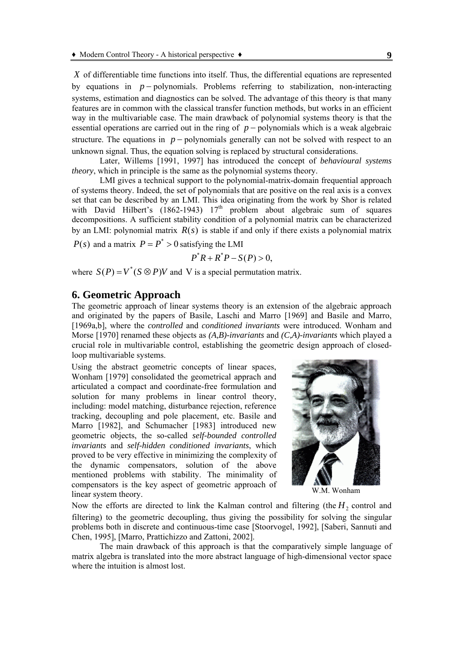*X* of differentiable time functions into itself. Thus, the differential equations are represented by equations in *p* − polynomials. Problems referring to stabilization, non-interacting systems, estimation and diagnostics can be solved. The advantage of this theory is that many features are in common with the classical transfer function methods, but works in an efficient way in the multivariable case. The main drawback of polynomial systems theory is that the essential operations are carried out in the ring of *p* − polynomials which is a weak algebraic structure. The equations in  $p$  – polynomials generally can not be solved with respect to an unknown signal. Thus, the equation solving is replaced by structural considerations.

Later, Willems [1991, 1997] has introduced the concept of *behavioural systems theory*, which in principle is the same as the polynomial systems theory.

LMI gives a technical support to the polynomial-matrix-domain frequential approach of systems theory. Indeed, the set of polynomials that are positive on the real axis is a convex set that can be described by an LMI. This idea originating from the work by Shor is related with David Hilbert's  $(1862-1943)$   $17<sup>th</sup>$  problem about algebraic sum of squares decompositions. A sufficient stability condition of a polynomial matrix can be characterized by an LMI: polynomial matrix *R*(*s*) is stable if and only if there exists a polynomial matrix

 $P(s)$  and a matrix  $P = P^* > 0$  satisfying the LMI

$$
P^*R + R^*P - S(P) > 0,
$$

where  $S(P) = V^*(S \otimes P)V$  and V is a special permutation matrix.

# **6. Geometric Approach**

The geometric approach of linear systems theory is an extension of the algebraic approach and originated by the papers of Basile, Laschi and Marro [1969] and Basile and Marro, [1969a,b], where the *controlled* and *conditioned invariants* were introduced. Wonham and Morse [1970] renamed these objects as *(A,B)-invariants* and *(C,A)-invariants* which played a crucial role in multivariable control, establishing the geometric design approach of closedloop multivariable systems.

Using the abstract geometric concepts of linear spaces, Wonham [1979] consolidated the geometrical apprach and articulated a compact and coordinate-free formulation and solution for many problems in linear control theory, including: model matching, disturbance rejection, reference tracking, decoupling and pole placement, etc. Basile and Marro [1982], and Schumacher [1983] introduced new geometric objects, the so-called *self-bounded controlled invariants* and *self-hidden conditioned invariants*, which proved to be very effective in minimizing the complexity of the dynamic compensators, solution of the above mentioned problems with stability. The minimality of compensators is the key aspect of geometric approach of linear system theory. W.M. Wonham



Now the efforts are directed to link the Kalman control and filtering (the  $H<sub>2</sub>$  control and filtering) to the geometric decoupling, thus giving the possibility for solving the singular problems both in discrete and continuous-time case [Stoorvogel, 1992], [Saberi, Sannuti and Chen, 1995], [Marro, Prattichizzo and Zattoni, 2002].

The main drawback of this approach is that the comparatively simple language of matrix algebra is translated into the more abstract language of high-dimensional vector space where the intuition is almost lost.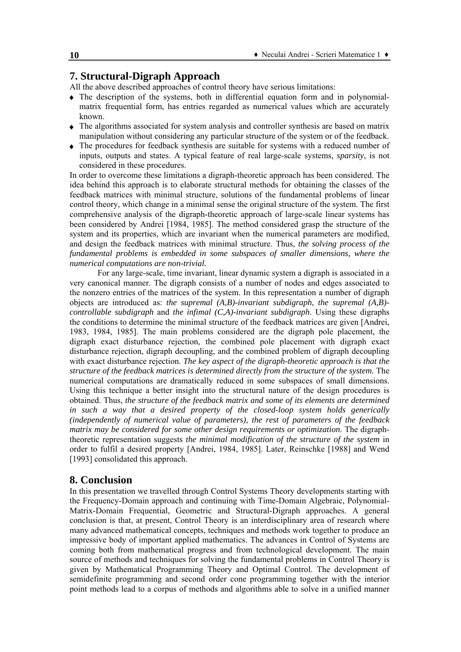# **7. Structural-Digraph Approach**

All the above described approaches of control theory have serious limitations:

- ♦ The description of the systems, both in differential equation form and in polynomialmatrix frequential form, has entries regarded as numerical values which are accurately known.
- ♦ The algorithms associated for system analysis and controller synthesis are based on matrix manipulation without considering any particular structure of the system or of the feedback.
- ♦ The procedures for feedback synthesis are suitable for systems with a reduced number of inputs, outputs and states. A typical feature of real large-scale systems, *sparsity*, is not considered in these procedures.

In order to overcome these limitations a digraph-theoretic approach has been considered. The idea behind this approach is to elaborate structural methods for obtaining the classes of the feedback matrices with minimal structure, solutions of the fundamental problems of linear control theory, which change in a minimal sense the original structure of the system. The first comprehensive analysis of the digraph-theoretic approach of large-scale linear systems has been considered by Andrei [1984, 1985]. The method considered grasp the structure of the system and its properties, which are invariant when the numerical parameters are modified, and design the feedback matrices with minimal structure. Thus, *the solving process of the fundamental problems is embedded in some subspaces of smaller dimensions, where the numerical computations are non-trivial.* 

 For any large-scale, time invariant, linear dynamic system a digraph is associated in a very canonical manner. The digraph consists of a number of nodes and edges associated to the nonzero entries of the matrices of the system. In this representation a number of digraph objects are introduced as: *the supremal (A,B)-invariant subdigraph*, *the supremal (A,B) controllable subdigraph* and *the infimal (C,A)-invariant subdigraph*. Using these digraphs the conditions to determine the minimal structure of the feedback matrices are given [Andrei, 1983, 1984, 1985]. The main problems considered are the digraph pole placement, the digraph exact disturbance rejection, the combined pole placement with digraph exact disturbance rejection, digraph decoupling, and the combined problem of digraph decoupling with exact disturbance rejection. *The key aspect of the digraph-theoretic approach is that the structure of the feedback matrices is determined directly from the structure of the system.* The numerical computations are dramatically reduced in some subspaces of small dimensions. Using this technique a better insight into the structural nature of the design procedures is obtained. Thus, *the structure of the feedback matrix and some of its elements are determined in such a way that a desired property of the closed-loop system holds generically (independently of numerical value of parameters), the rest of parameters of the feedback matrix may be considered for some other design requirements or optimization*. The digraphtheoretic representation suggests *the minimal modification of the structure of the system* in order to fulfil a desired property [Andrei, 1984, 1985]. Later, Reinschke [1988] and Wend [1993] consolidated this approach.

### **8. Conclusion**

In this presentation we travelled through Control Systems Theory developments starting with the Frequency-Domain approach and continuing with Time-Domain Algebraic, Polynomial-Matrix-Domain Frequential, Geometric and Structural-Digraph approaches. A general conclusion is that, at present, Control Theory is an interdisciplinary area of research where many advanced mathematical concepts, techniques and methods work together to produce an impressive body of important applied mathematics. The advances in Control of Systems are coming both from mathematical progress and from technological development. The main source of methods and techniques for solving the fundamental problems in Control Theory is given by Mathematical Programming Theory and Optimal Control. The development of semidefinite programming and second order cone programming together with the interior point methods lead to a corpus of methods and algorithms able to solve in a unified manner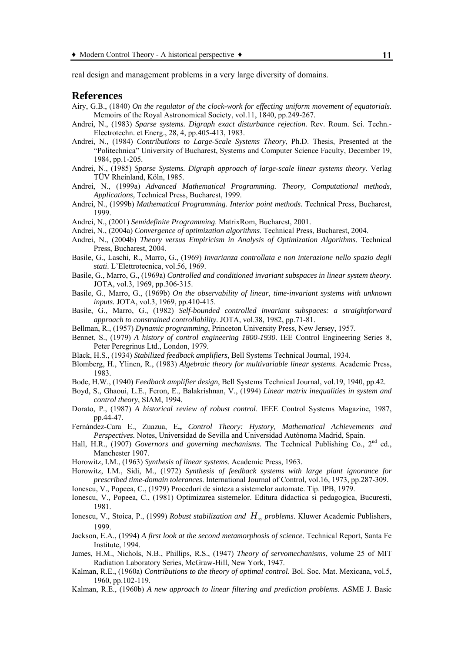real design and management problems in a very large diversity of domains.

#### **References**

- Airy, G.B., (1840) *On the regulator of the clock-work for effecting uniform movement of equatorials.* Memoirs of the Royal Astronomical Society, vol.11, 1840, pp.249-267.
- Andrei, N., (1983) *Sparse systems. Digraph exact disturbance rejection.* Rev. Roum. Sci. Techn.- Electrotechn. et Energ., 28, 4, pp.405-413, 1983.
- Andrei, N., (1984) *Contributions to Large-Scale Systems Theory*, Ph.D. Thesis, Presented at the "Politechnica" University of Bucharest, Systems and Computer Science Faculty, December 19, 1984, pp.1-205.
- Andrei, N., (1985) *Sparse Systems. Digraph approach of large-scale linear systems theory*. Verlag TÜV Rheinland, Köln, 1985.
- Andrei, N., (1999a) *Advanced Mathematical Programming. Theory, Computational methods, Applications,* Technical Press, Bucharest, 1999.
- Andrei, N., (1999b) *Mathematical Programming. Interior point methods.* Technical Press, Bucharest, 1999.
- Andrei, N., (2001) *Semidefinite Programming*. MatrixRom, Bucharest, 2001.
- Andrei, N., (2004a) *Convergence of optimization algorithms*. Technical Press, Bucharest, 2004.
- Andrei, N., (2004b) *Theory versus Empiricism in Analysis of Optimization Algorithms*. Technical Press, Bucharest, 2004.
- Basile, G., Laschi, R., Marro, G., (1969) *Invarianza controllata e non interazione nello spazio degli stati*. L'Elettrotecnica, vol.56, 1969.
- Basile, G., Marro, G., (1969a) *Controlled and conditioned invariant subspaces in linear system theory.* JOTA, vol.3, 1969, pp.306-315.
- Basile, G., Marro, G., (1969b) *On the observability of linear, time-invariant systems with unknown inputs.* JOTA, vol.3, 1969, pp.410-415.
- Basile, G., Marro, G., (1982) *Self-bounded controlled invariant subspaces: a straightforward approach to constrained controllability*. JOTA, vol.38, 1982, pp.71-81.
- Bellman, R., (1957) *Dynamic programming*, Princeton University Press, New Jersey, 1957.
- Bennet, S., (1979) *A history of control engineering 1800-1930*. IEE Control Engineering Series 8, Peter Peregrinus Ltd., London, 1979.
- Black, H.S., (1934) *Stabilized feedback amplifiers*, Bell Systems Technical Journal, 1934.
- Blomberg, H., Ylinen, R., (1983) *Algebraic theory for multivariable linear systems*. Academic Press, 1983.
- Bode, H.W., (1940) *Feedback amplifier design*, Bell Systems Technical Journal, vol.19, 1940, pp.42.
- Boyd, S., Ghaoui, L.E., Feron, E., Balakrishnan, V., (1994) *Linear matrix inequalities in system and control theory*, SIAM, 1994.
- Dorato, P., (1987) *A historical review of robust control*. IEEE Control Systems Magazine, 1987, pp.44-47.
- Fernández-Cara E., Zuazua, E**.,** *Control Theory: Hystory, Mathematical Achievements and Perspectives.* Notes, Universidad de Sevilla and Universidad Autónoma Madrid, Spain.
- Hall, H.R., (1907) *Governors and governing mechanisms*. The Technical Publishing Co., 2<sup>nd</sup> ed., Manchester 1907.
- Horowitz, I.M., (1963) *Synthesis of linear systems*. Academic Press, 1963.
- Horowitz, I.M., Sidi, M., (1972) *Synthesis of feedback systems with large plant ignorance for prescribed time-domain tolerances*. International Journal of Control, vol.16, 1973, pp.287-309.
- Ionescu, V., Popeea, C., (1979) Proceduri de sinteza a sistemelor automate. Tip. IPB, 1979.
- Ionescu, V., Popeea, C., (1981) Optimizarea sistemelor. Editura didactica si pedagogica, Bucuresti, 1981.
- Ionescu, V., Stoica, P., (1999) *Robust stabilization and H*<sup>∞</sup> *problems*. Kluwer Academic Publishers, 1999.
- Jackson, E.A., (1994) *A first look at the second metamorphosis of science*. Technical Report, Santa Fe Institute, 1994.
- James, H.M., Nichols, N.B., Phillips, R.S., (1947) *Theory of servomechanisms*, volume 25 of MIT Radiation Laboratory Series, McGraw-Hill, New York, 1947.
- Kalman, R.E., (1960a) *Contributions to the theory of optimal control*. Bol. Soc. Mat. Mexicana, vol.5, 1960, pp.102-119.
- Kalman, R.E., (1960b) *A new approach to linear filtering and prediction problems*. ASME J. Basic